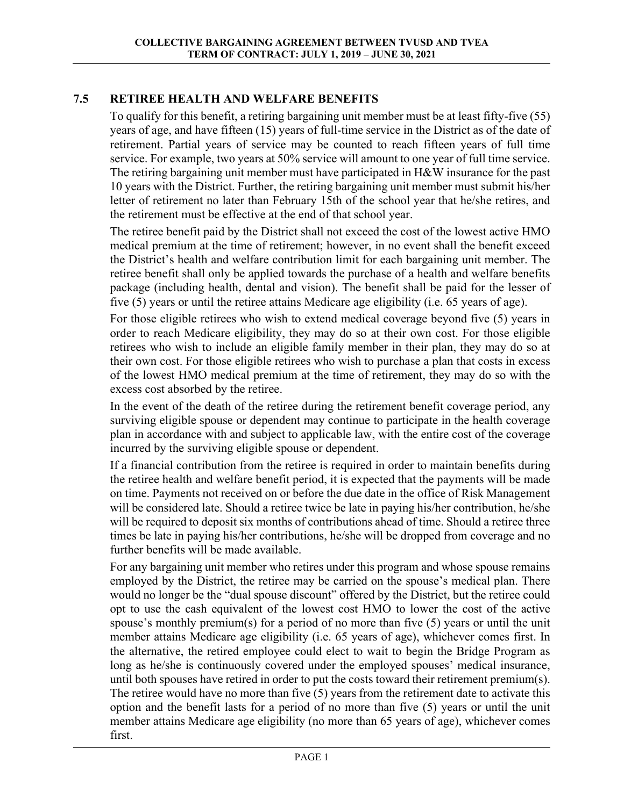## **7.5 RETIREE HEALTH AND WELFARE BENEFITS**

To qualify for this benefit, a retiring bargaining unit member must be at least fifty-five (55) years of age, and have fifteen (15) years of full-time service in the District as of the date of retirement. Partial years of service may be counted to reach fifteen years of full time service. For example, two years at 50% service will amount to one year of full time service. The retiring bargaining unit member must have participated in H&W insurance for the past 10 years with the District. Further, the retiring bargaining unit member must submit his/her letter of retirement no later than February 15th of the school year that he/she retires, and the retirement must be effective at the end of that school year.

The retiree benefit paid by the District shall not exceed the cost of the lowest active HMO medical premium at the time of retirement; however, in no event shall the benefit exceed the District's health and welfare contribution limit for each bargaining unit member. The retiree benefit shall only be applied towards the purchase of a health and welfare benefits package (including health, dental and vision). The benefit shall be paid for the lesser of five (5) years or until the retiree attains Medicare age eligibility (i.e. 65 years of age).

For those eligible retirees who wish to extend medical coverage beyond five (5) years in order to reach Medicare eligibility, they may do so at their own cost. For those eligible retirees who wish to include an eligible family member in their plan, they may do so at their own cost. For those eligible retirees who wish to purchase a plan that costs in excess of the lowest HMO medical premium at the time of retirement, they may do so with the excess cost absorbed by the retiree.

In the event of the death of the retiree during the retirement benefit coverage period, any surviving eligible spouse or dependent may continue to participate in the health coverage plan in accordance with and subject to applicable law, with the entire cost of the coverage incurred by the surviving eligible spouse or dependent.

If a financial contribution from the retiree is required in order to maintain benefits during the retiree health and welfare benefit period, it is expected that the payments will be made on time. Payments not received on or before the due date in the office of Risk Management will be considered late. Should a retiree twice be late in paying his/her contribution, he/she will be required to deposit six months of contributions ahead of time. Should a retiree three times be late in paying his/her contributions, he/she will be dropped from coverage and no further benefits will be made available.

For any bargaining unit member who retires under this program and whose spouse remains employed by the District, the retiree may be carried on the spouse's medical plan. There would no longer be the "dual spouse discount" offered by the District, but the retiree could opt to use the cash equivalent of the lowest cost HMO to lower the cost of the active spouse's monthly premium(s) for a period of no more than five (5) years or until the unit member attains Medicare age eligibility (i.e. 65 years of age), whichever comes first. In the alternative, the retired employee could elect to wait to begin the Bridge Program as long as he/she is continuously covered under the employed spouses' medical insurance, until both spouses have retired in order to put the costs toward their retirement premium(s). The retiree would have no more than five (5) years from the retirement date to activate this option and the benefit lasts for a period of no more than five (5) years or until the unit member attains Medicare age eligibility (no more than 65 years of age), whichever comes first.